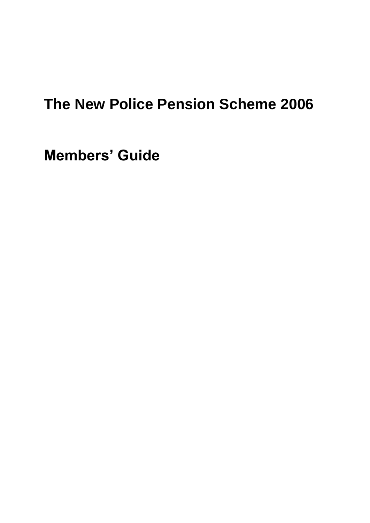# **The New Police Pension Scheme 2006**

**Members' Guide**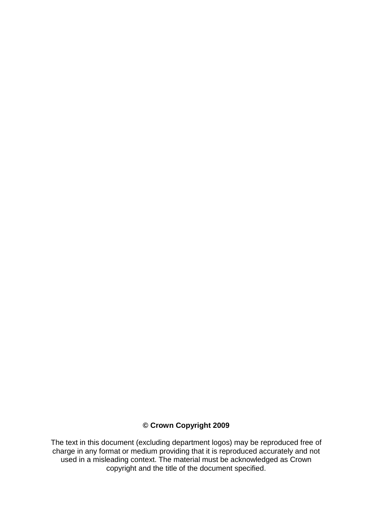#### **© Crown Copyright 2009**

The text in this document (excluding department logos) may be reproduced free of charge in any format or medium providing that it is reproduced accurately and not used in a misleading context. The material must be acknowledged as Crown copyright and the title of the document specified.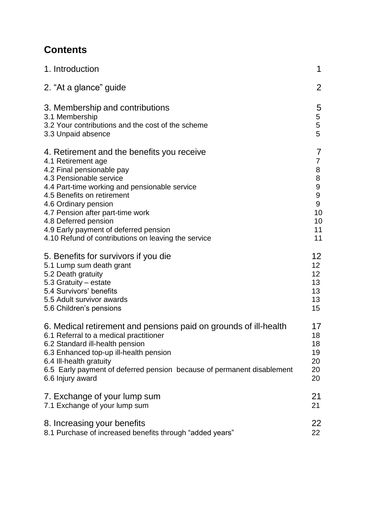## **Contents**

| 1. Introduction                                                        | 1                |
|------------------------------------------------------------------------|------------------|
| 2. "At a glance" guide                                                 | $\overline{2}$   |
| 3. Membership and contributions                                        | 5                |
| 3.1 Membership                                                         | 5                |
| 3.2 Your contributions and the cost of the scheme                      | 5                |
| 3.3 Unpaid absence                                                     | 5                |
| 4. Retirement and the benefits you receive                             | 7                |
| 4.1 Retirement age                                                     | 7                |
| 4.2 Final pensionable pay                                              | 8                |
| 4.3 Pensionable service                                                | $\bf 8$          |
| 4.4 Part-time working and pensionable service                          | $\boldsymbol{9}$ |
| 4.5 Benefits on retirement                                             | 9                |
| 4.6 Ordinary pension                                                   | 9                |
| 4.7 Pension after part-time work                                       | 10               |
| 4.8 Deferred pension                                                   | 10               |
| 4.9 Early payment of deferred pension                                  | 11               |
| 4.10 Refund of contributions on leaving the service                    | 11               |
| 5. Benefits for survivors if you die                                   | 12               |
| 5.1 Lump sum death grant                                               | 12 <sub>2</sub>  |
| 5.2 Death gratuity                                                     | 12               |
| 5.3 Gratuity - estate                                                  | 13               |
| 5.4 Survivors' benefits                                                | 13               |
| 5.5 Adult survivor awards                                              | 13               |
| 5.6 Children's pensions                                                | 15               |
| 6. Medical retirement and pensions paid on grounds of ill-health       | 17               |
| 6.1 Referral to a medical practitioner                                 | 18               |
| 6.2 Standard ill-health pension                                        | 18               |
| 6.3 Enhanced top-up ill-health pension                                 | 19               |
| 6.4 Ill-health gratuity                                                | 20               |
| 6.5 Early payment of deferred pension because of permanent disablement | 20               |
| 6.6 Injury award                                                       | 20               |
| 7. Exchange of your lump sum                                           | 21               |
| 7.1 Exchange of your lump sum                                          | 21               |
| 8. Increasing your benefits                                            | 22               |
| 8.1 Purchase of increased benefits through "added years"               | 22               |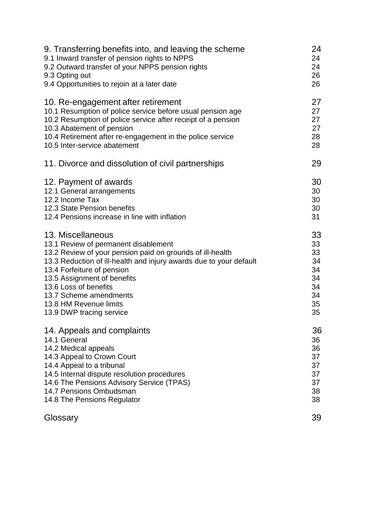| 9. Transferring benefits into, and leaving the scheme              | 24 |
|--------------------------------------------------------------------|----|
| 9.1 Inward transfer of pension rights to NPPS                      | 24 |
| 9.2 Outward transfer of your NPPS pension rights                   | 24 |
| 9.3 Opting out                                                     | 26 |
| 9.4 Opportunities to rejoin at a later date                        | 26 |
| 10. Re-engagement after retirement                                 | 27 |
| 10.1 Resumption of police service before usual pension age         | 27 |
| 10.2 Resumption of police service after receipt of a pension       | 27 |
| 10.3 Abatement of pension                                          | 27 |
| 10.4 Retirement after re-engagement in the police service          | 28 |
| 10.5 Inter-service abatement                                       | 28 |
| 11. Divorce and dissolution of civil partnerships                  | 29 |
| 12. Payment of awards                                              | 30 |
| 12.1 General arrangements                                          | 30 |
| 12.2 Income Tax                                                    | 30 |
| 12.3 State Pension benefits                                        | 30 |
| 12.4 Pensions increase in line with inflation                      | 31 |
| 13. Miscellaneous                                                  | 33 |
| 13.1 Review of permanent disablement                               | 33 |
| 13.2 Review of your pension paid on grounds of ill-health          | 33 |
| 13.3 Reduction of ill-health and injury awards due to your default | 34 |
| 13.4 Forfeiture of pension                                         | 34 |
| 13.5 Assignment of benefits                                        | 34 |
| 13.6 Loss of benefits                                              | 34 |
| 13.7 Scheme amendments                                             | 34 |
| 13.8 HM Revenue limits                                             | 35 |
| 13.9 DWP tracing service                                           | 35 |
| 14. Appeals and complaints                                         | 36 |
| 14.1 General                                                       | 36 |
| 14.2 Medical appeals                                               | 36 |
| 14.3 Appeal to Crown Court                                         | 37 |
| 14.4 Appeal to a tribunal                                          | 37 |
| 14.5 Internal dispute resolution procedures                        | 37 |
| 14.6 The Pensions Advisory Service (TPAS)                          | 37 |
| 14.7 Pensions Ombudsman                                            | 38 |
| 14.8 The Pensions Regulator                                        | 38 |
| Glossary                                                           | 39 |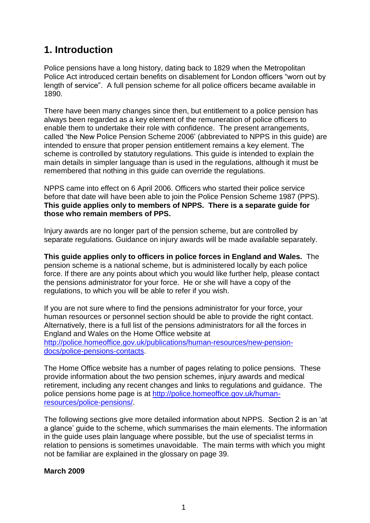## **1. Introduction**

Police pensions have a long history, dating back to 1829 when the Metropolitan Police Act introduced certain benefits on disablement for London officers "worn out by length of service". A full pension scheme for all police officers became available in 1890.

There have been many changes since then, but entitlement to a police pension has always been regarded as a key element of the remuneration of police officers to enable them to undertake their role with confidence. The present arrangements, called 'the New Police Pension Scheme 2006' (abbreviated to NPPS in this guide) are intended to ensure that proper pension entitlement remains a key element. The scheme is controlled by statutory regulations. This guide is intended to explain the main details in simpler language than is used in the regulations, although it must be remembered that nothing in this guide can override the regulations.

NPPS came into effect on 6 April 2006. Officers who started their police service before that date will have been able to join the Police Pension Scheme 1987 (PPS). **This guide applies only to members of NPPS. There is a separate guide for those who remain members of PPS.**

Injury awards are no longer part of the pension scheme, but are controlled by separate regulations. Guidance on injury awards will be made available separately.

**This guide applies only to officers in police forces in England and Wales.** The pension scheme is a national scheme, but is administered locally by each police force. If there are any points about which you would like further help, please contact the pensions administrator for your force. He or she will have a copy of the regulations, to which you will be able to refer if you wish.

If you are not sure where to find the pensions administrator for your force, your human resources or personnel section should be able to provide the right contact. Alternatively, there is a full list of the pensions administrators for all the forces in England and Wales on the Home Office website at [http://police.homeoffice.gov.uk/publications/human-resources/new-pension-](http://police.homeoffice.gov.uk/publications/human-resources/new-pension-docs/police-pensions-contacts)

[docs/police-pensions-contacts.](http://police.homeoffice.gov.uk/publications/human-resources/new-pension-docs/police-pensions-contacts)

The Home Office website has a number of pages relating to police pensions. These provide information about the two pension schemes, injury awards and medical retirement, including any recent changes and links to regulations and guidance. The police pensions home page is at [http://police.homeoffice.gov.uk/human](http://police.homeoffice.gov.uk/human-resources/police-pensions/)[resources/police-pensions/.](http://police.homeoffice.gov.uk/human-resources/police-pensions/)

The following sections give more detailed information about NPPS. Section 2 is an 'at a glance' guide to the scheme, which summarises the main elements. The information in the guide uses plain language where possible, but the use of specialist terms in relation to pensions is sometimes unavoidable. The main terms with which you might not be familiar are explained in the glossary on page 39.

#### **March 2009**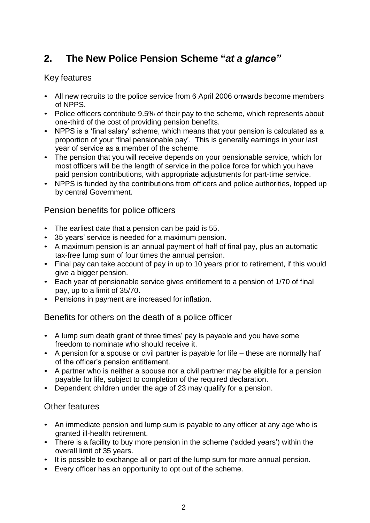## **2. The New Police Pension Scheme "***at a glance"*

### Key features

- All new recruits to the police service from 6 April 2006 onwards become members of NPPS.
- Police officers contribute 9.5% of their pay to the scheme, which represents about one-third of the cost of providing pension benefits.
- NPPS is a 'final salary' scheme, which means that your pension is calculated as a proportion of your 'final pensionable pay'. This is generally earnings in your last year of service as a member of the scheme.
- The pension that you will receive depends on your pensionable service, which for most officers will be the length of service in the police force for which you have paid pension contributions, with appropriate adjustments for part-time service.
- NPPS is funded by the contributions from officers and police authorities, topped up by central Government.

### Pension benefits for police officers

- The earliest date that a pension can be paid is 55.
- 35 years' service is needed for a maximum pension.
- A maximum pension is an annual payment of half of final pay, plus an automatic tax-free lump sum of four times the annual pension.
- Final pay can take account of pay in up to 10 years prior to retirement, if this would give a bigger pension.
- Each year of pensionable service gives entitlement to a pension of 1/70 of final pay, up to a limit of 35/70.
- Pensions in payment are increased for inflation.

Benefits for others on the death of a police officer

- A lump sum death grant of three times' pay is payable and you have some freedom to nominate who should receive it.
- A pension for a spouse or civil partner is payable for life these are normally half of the officer's pension entitlement.
- A partner who is neither a spouse nor a civil partner may be eligible for a pension payable for life, subject to completion of the required declaration.
- Dependent children under the age of 23 may qualify for a pension.

## Other features

- An immediate pension and lump sum is payable to any officer at any age who is granted ill-health retirement.
- There is a facility to buy more pension in the scheme ('added years') within the overall limit of 35 years.
- It is possible to exchange all or part of the lump sum for more annual pension.
- Every officer has an opportunity to opt out of the scheme.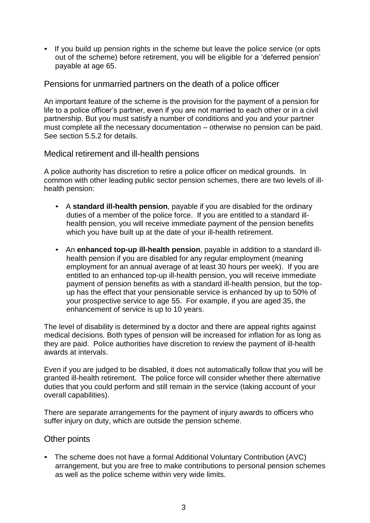• If you build up pension rights in the scheme but leave the police service (or opts out of the scheme) before retirement, you will be eligible for a 'deferred pension' payable at age 65.

#### Pensions for unmarried partners on the death of a police officer

An important feature of the scheme is the provision for the payment of a pension for life to a police officer's partner, even if you are not married to each other or in a civil partnership. But you must satisfy a number of conditions and you and your partner must complete all the necessary documentation – otherwise no pension can be paid. See section 5.5.2 for details.

#### Medical retirement and ill-health pensions

A police authority has discretion to retire a police officer on medical grounds. In common with other leading public sector pension schemes, there are two levels of illhealth pension:

- A **standard ill-health pension**, payable if you are disabled for the ordinary duties of a member of the police force. If you are entitled to a standard illhealth pension, you will receive immediate payment of the pension benefits which you have built up at the date of your ill-health retirement.
- An **enhanced top-up ill-health pension**, payable in addition to a standard illhealth pension if you are disabled for any regular employment (meaning employment for an annual average of at least 30 hours per week). If you are entitled to an enhanced top-up ill-health pension, you will receive immediate payment of pension benefits as with a standard ill-health pension, but the topup has the effect that your pensionable service is enhanced by up to 50% of your prospective service to age 55. For example, if you are aged 35, the enhancement of service is up to 10 years.

The level of disability is determined by a doctor and there are appeal rights against medical decisions. Both types of pension will be increased for inflation for as long as they are paid. Police authorities have discretion to review the payment of ill-health awards at intervals.

Even if you are judged to be disabled, it does not automatically follow that you will be granted ill-health retirement. The police force will consider whether there alternative duties that you could perform and still remain in the service (taking account of your overall capabilities).

There are separate arrangements for the payment of injury awards to officers who suffer injury on duty, which are outside the pension scheme.

#### Other points

• The scheme does not have a formal Additional Voluntary Contribution (AVC) arrangement, but you are free to make contributions to personal pension schemes as well as the police scheme within very wide limits.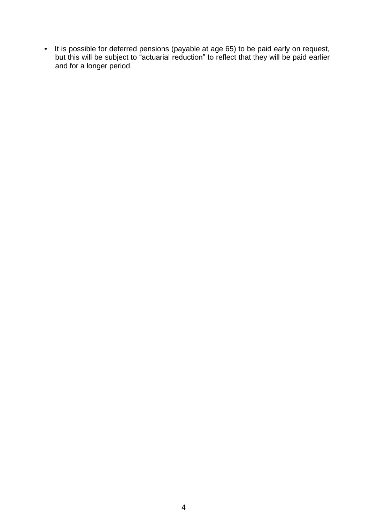• It is possible for deferred pensions (payable at age 65) to be paid early on request, but this will be subject to "actuarial reduction" to reflect that they will be paid earlier and for a longer period.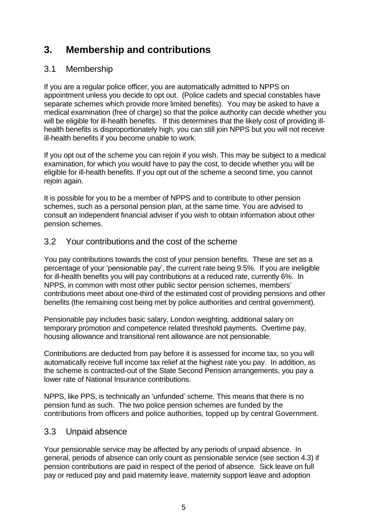## **3. Membership and contributions**

## 3.1 Membership

If you are a regular police officer, you are automatically admitted to NPPS on appointment unless you decide to opt out. (Police cadets and special constables have separate schemes which provide more limited benefits). You may be asked to have a medical examination (free of charge) so that the police authority can decide whether you will be eligible for ill-health benefits. If this determines that the likely cost of providing illhealth benefits is disproportionately high, you can still join NPPS but you will not receive ill-health benefits if you become unable to work.

If you opt out of the scheme you can rejoin if you wish. This may be subject to a medical examination, for which you would have to pay the cost, to decide whether you will be eligible for ill-health benefits. If you opt out of the scheme a second time, you cannot rejoin again.

It is possible for you to be a member of NPPS and to contribute to other pension schemes, such as a personal pension plan, at the same time. You are advised to consult an independent financial adviser if you wish to obtain information about other pension schemes.

### 3.2 Your contributions and the cost of the scheme

You pay contributions towards the cost of your pension benefits. These are set as a percentage of your 'pensionable pay', the current rate being 9.5%. If you are ineligible for ill-health benefits you will pay contributions at a reduced rate, currently 6%. In NPPS, in common with most other public sector pension schemes, members' contributions meet about one-third of the estimated cost of providing pensions and other benefits (the remaining cost being met by police authorities and central government).

Pensionable pay includes basic salary, London weighting, additional salary on temporary promotion and competence related threshold payments. Overtime pay, housing allowance and transitional rent allowance are not pensionable.

Contributions are deducted from pay before it is assessed for income tax, so you will automatically receive full income tax relief at the highest rate you pay. In addition, as the scheme is contracted-out of the State Second Pension arrangements, you pay a lower rate of National Insurance contributions.

NPPS, like PPS, is technically an 'unfunded' scheme. This means that there is no pension fund as such. The two police pension schemes are funded by the contributions from officers and police authorities, topped up by central Government.

#### 3.3 Unpaid absence

Your pensionable service may be affected by any periods of unpaid absence. In general, periods of absence can only count as pensionable service (see section 4.3) if pension contributions are paid in respect of the period of absence. Sick leave on full pay or reduced pay and paid maternity leave, maternity support leave and adoption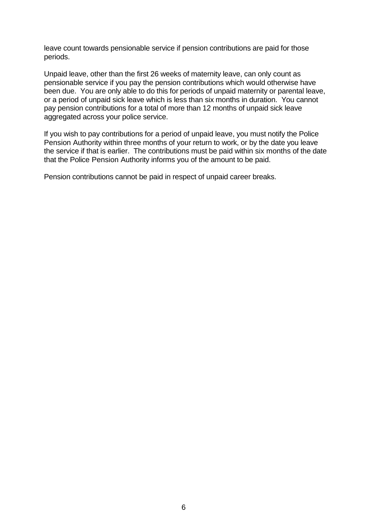leave count towards pensionable service if pension contributions are paid for those periods.

Unpaid leave, other than the first 26 weeks of maternity leave, can only count as pensionable service if you pay the pension contributions which would otherwise have been due. You are only able to do this for periods of unpaid maternity or parental leave, or a period of unpaid sick leave which is less than six months in duration. You cannot pay pension contributions for a total of more than 12 months of unpaid sick leave aggregated across your police service.

If you wish to pay contributions for a period of unpaid leave, you must notify the Police Pension Authority within three months of your return to work, or by the date you leave the service if that is earlier. The contributions must be paid within six months of the date that the Police Pension Authority informs you of the amount to be paid.

Pension contributions cannot be paid in respect of unpaid career breaks.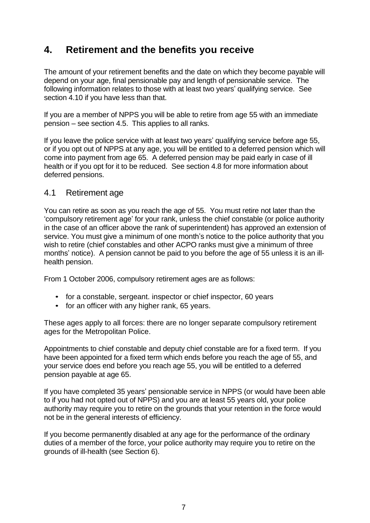## **4. Retirement and the benefits you receive**

The amount of your retirement benefits and the date on which they become payable will depend on your age, final pensionable pay and length of pensionable service. The following information relates to those with at least two years' qualifying service. See section 4.10 if you have less than that.

If you are a member of NPPS you will be able to retire from age 55 with an immediate pension – see section 4.5. This applies to all ranks.

If you leave the police service with at least two years' qualifying service before age 55, or if you opt out of NPPS at any age, you will be entitled to a deferred pension which will come into payment from age 65. A deferred pension may be paid early in case of ill health or if you opt for it to be reduced. See section 4.8 for more information about deferred pensions.

#### 4.1 Retirement age

You can retire as soon as you reach the age of 55. You must retire not later than the 'compulsory retirement age' for your rank, unless the chief constable (or police authority in the case of an officer above the rank of superintendent) has approved an extension of service. You must give a minimum of one month's notice to the police authority that you wish to retire (chief constables and other ACPO ranks must give a minimum of three months' notice). A pension cannot be paid to you before the age of 55 unless it is an illhealth pension.

From 1 October 2006, compulsory retirement ages are as follows:

- for a constable, sergeant. inspector or chief inspector, 60 years
- for an officer with any higher rank, 65 years.

These ages apply to all forces: there are no longer separate compulsory retirement ages for the Metropolitan Police.

Appointments to chief constable and deputy chief constable are for a fixed term. If you have been appointed for a fixed term which ends before you reach the age of 55, and your service does end before you reach age 55, you will be entitled to a deferred pension payable at age 65.

If you have completed 35 years' pensionable service in NPPS (or would have been able to if you had not opted out of NPPS) and you are at least 55 years old, your police authority may require you to retire on the grounds that your retention in the force would not be in the general interests of efficiency.

If you become permanently disabled at any age for the performance of the ordinary duties of a member of the force, your police authority may require you to retire on the grounds of ill-health (see Section 6).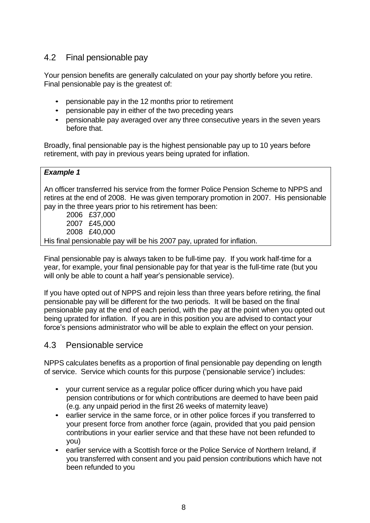## 4.2 Final pensionable pay

Your pension benefits are generally calculated on your pay shortly before you retire. Final pensionable pay is the greatest of:

- pensionable pay in the 12 months prior to retirement
- pensionable pay in either of the two preceding years
- pensionable pay averaged over any three consecutive years in the seven years before that.

Broadly, final pensionable pay is the highest pensionable pay up to 10 years before retirement, with pay in previous years being uprated for inflation.

#### *Example 1*

An officer transferred his service from the former Police Pension Scheme to NPPS and retires at the end of 2008. He was given temporary promotion in 2007. His pensionable pay in the three years prior to his retirement has been:

2006 £37,000 2007 £45,000 2008 £40,000 His final pensionable pay will be his 2007 pay, uprated for inflation.

Final pensionable pay is always taken to be full-time pay. If you work half-time for a year, for example, your final pensionable pay for that year is the full-time rate (but you will only be able to count a half year's pensionable service).

If you have opted out of NPPS and rejoin less than three years before retiring, the final pensionable pay will be different for the two periods. It will be based on the final pensionable pay at the end of each period, with the pay at the point when you opted out being uprated for inflation. If you are in this position you are advised to contact your force's pensions administrator who will be able to explain the effect on your pension.

#### 4.3 Pensionable service

NPPS calculates benefits as a proportion of final pensionable pay depending on length of service. Service which counts for this purpose ('pensionable service') includes:

- your current service as a regular police officer during which you have paid pension contributions or for which contributions are deemed to have been paid (e.g. any unpaid period in the first 26 weeks of maternity leave)
- earlier service in the same force, or in other police forces if you transferred to your present force from another force (again, provided that you paid pension contributions in your earlier service and that these have not been refunded to you)
- earlier service with a Scottish force or the Police Service of Northern Ireland, if you transferred with consent and you paid pension contributions which have not been refunded to you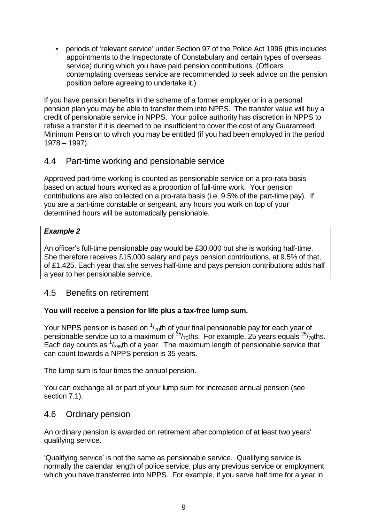• periods of 'relevant service' under Section 97 of the Police Act 1996 (this includes appointments to the Inspectorate of Constabulary and certain types of overseas service) during which you have paid pension contributions. (Officers contemplating overseas service are recommended to seek advice on the pension position before agreeing to undertake it.)

If you have pension benefits in the scheme of a former employer or in a personal pension plan you may be able to transfer them into NPPS. The transfer value will buy a credit of pensionable service in NPPS. Your police authority has discretion in NPPS to refuse a transfer if it is deemed to be insufficient to cover the cost of any Guaranteed Minimum Pension to which you may be entitled (if you had been employed in the period 1978 – 1997).

## 4.4 Part-time working and pensionable service

Approved part-time working is counted as pensionable service on a pro-rata basis based on actual hours worked as a proportion of full-time work. Your pension contributions are also collected on a pro-rata basis (i.e. 9.5% of the part-time pay). If you are a part-time constable or sergeant, any hours you work on top of your determined hours will be automatically pensionable.

#### *Example 2*

An officer's full-time pensionable pay would be £30,000 but she is working half-time. She therefore receives £15,000 salary and pays pension contributions, at 9.5% of that, of £1,425. Each year that she serves half-time and pays pension contributions adds half a year to her pensionable service.

#### 4.5 Benefits on retirement

#### **You will receive a pension for life plus a tax-free lump sum.**

Your NPPS pension is based on  $\frac{1}{70}$ th of your final pensionable pay for each year of pensionable service up to a maximum of <sup>35</sup>/<sub>70</sub>ths. For example, 25 years equals <sup>25</sup>/<sub>70</sub>ths. Each day counts as  $\frac{1}{365}$ th of a year. The maximum length of pensionable service that can count towards a NPPS pension is 35 years.

The lump sum is four times the annual pension.

You can exchange all or part of your lump sum for increased annual pension (see section 7.1).

#### 4.6 Ordinary pension

An ordinary pension is awarded on retirement after completion of at least two years' qualifying service.

'Qualifying service' is not the same as pensionable service. Qualifying service is normally the calendar length of police service, plus any previous service or employment which you have transferred into NPPS. For example, if you serve half time for a year in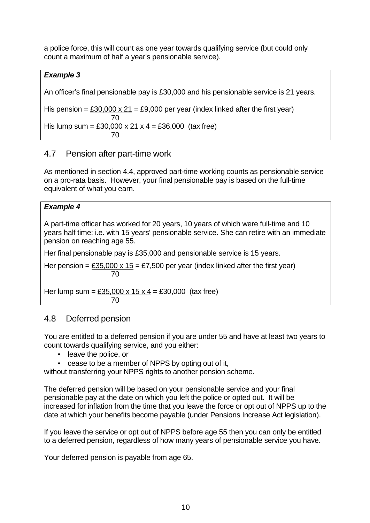a police force, this will count as one year towards qualifying service (but could only count a maximum of half a year's pensionable service).

#### *Example 3*

An officer's final pensionable pay is £30,000 and his pensionable service is 21 years.

His pension =  $£30,000 \times 21 = £9,000$  per year (index linked after the first year)

His lump sum = £30,000 x 21 x 4 = £36,000 (tax free) 70

## 4.7 Pension after part-time work

70

As mentioned in section 4.4, approved part-time working counts as pensionable service on a pro-rata basis. However, your final pensionable pay is based on the full-time equivalent of what you earn.

#### *Example 4*

A part-time officer has worked for 20 years, 10 years of which were full-time and 10 years half time: i.e. with 15 years' pensionable service. She can retire with an immediate pension on reaching age 55.

Her final pensionable pay is £35,000 and pensionable service is 15 years.

Her pension =  $£35,000 \times 15 = £7,500$  per year (index linked after the first year) 70

Her lump sum =  $£35,000 \times 15 \times 4 = £30,000$  (tax free) 70

## 4.8 Deferred pension

You are entitled to a deferred pension if you are under 55 and have at least two years to count towards qualifying service, and you either:

- leave the police, or
- cease to be a member of NPPS by opting out of it,

without transferring your NPPS rights to another pension scheme.

The deferred pension will be based on your pensionable service and your final pensionable pay at the date on which you left the police or opted out. It will be increased for inflation from the time that you leave the force or opt out of NPPS up to the date at which your benefits become payable (under Pensions Increase Act legislation).

If you leave the service or opt out of NPPS before age 55 then you can only be entitled to a deferred pension, regardless of how many years of pensionable service you have.

Your deferred pension is payable from age 65.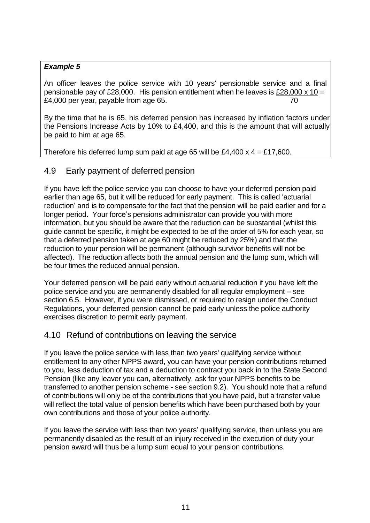#### *Example 5*

An officer leaves the police service with 10 years' pensionable service and a final pensionable pay of £28,000. His pension entitlement when he leaves is £28,000 x 10 = £4,000 per year, payable from age 65. The same state of the state of the state of the state of the state of the state of the state of the state of the state of the state of the state of the state of the state of the state

By the time that he is 65, his deferred pension has increased by inflation factors under the Pensions Increase Acts by 10% to £4,400, and this is the amount that will actually be paid to him at age 65.

Therefore his deferred lump sum paid at age 65 will be £4,400  $\times$  4 = £17,600.

## 4.9 Early payment of deferred pension

If you have left the police service you can choose to have your deferred pension paid earlier than age 65, but it will be reduced for early payment. This is called 'actuarial reduction' and is to compensate for the fact that the pension will be paid earlier and for a longer period. Your force's pensions administrator can provide you with more information, but you should be aware that the reduction can be substantial (whilst this guide cannot be specific, it might be expected to be of the order of 5% for each year, so that a deferred pension taken at age 60 might be reduced by 25%) and that the reduction to your pension will be permanent (although survivor benefits will not be affected). The reduction affects both the annual pension and the lump sum, which will be four times the reduced annual pension.

Your deferred pension will be paid early without actuarial reduction if you have left the police service and you are permanently disabled for all regular employment – see section 6.5. However, if you were dismissed, or required to resign under the Conduct Regulations, your deferred pension cannot be paid early unless the police authority exercises discretion to permit early payment.

#### 4.10 Refund of contributions on leaving the service

If you leave the police service with less than two years' qualifying service without entitlement to any other NPPS award, you can have your pension contributions returned to you, less deduction of tax and a deduction to contract you back in to the State Second Pension (like any leaver you can, alternatively, ask for your NPPS benefits to be transferred to another pension scheme - see section 9.2). You should note that a refund of contributions will only be of the contributions that you have paid, but a transfer value will reflect the total value of pension benefits which have been purchased both by your own contributions and those of your police authority.

If you leave the service with less than two years' qualifying service, then unless you are permanently disabled as the result of an injury received in the execution of duty your pension award will thus be a lump sum equal to your pension contributions.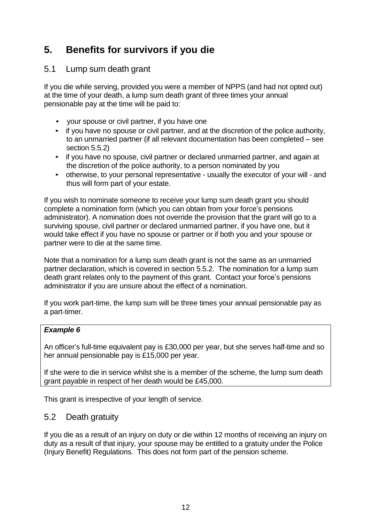## **5. Benefits for survivors if you die**

### 5.1 Lump sum death grant

If you die while serving, provided you were a member of NPPS (and had not opted out) at the time of your death, a lump sum death grant of three times your annual pensionable pay at the time will be paid to:

- your spouse or civil partner, if you have one
- if you have no spouse or civil partner, and at the discretion of the police authority, to an unmarried partner (if all relevant documentation has been completed – see section 5.5.2)
- if you have no spouse, civil partner or declared unmarried partner, and again at the discretion of the police authority, to a person nominated by you
- otherwise, to your personal representative usually the executor of your will and thus will form part of your estate.

If you wish to nominate someone to receive your lump sum death grant you should complete a nomination form (which you can obtain from your force's pensions administrator). A nomination does not override the provision that the grant will go to a surviving spouse, civil partner or declared unmarried partner, if you have one, but it would take effect if you have no spouse or partner or if both you and your spouse or partner were to die at the same time.

Note that a nomination for a lump sum death grant is not the same as an unmarried partner declaration, which is covered in section 5.5.2. The nomination for a lump sum death grant relates only to the payment of this grant. Contact your force's pensions administrator if you are unsure about the effect of a nomination.

If you work part-time, the lump sum will be three times your annual pensionable pay as a part-timer.

#### *Example 6*

An officer's full-time equivalent pay is £30,000 per year, but she serves half-time and so her annual pensionable pay is £15,000 per year.

If she were to die in service whilst she is a member of the scheme, the lump sum death grant payable in respect of her death would be £45,000.

This grant is irrespective of your length of service.

## 5.2 Death gratuity

If you die as a result of an injury on duty or die within 12 months of receiving an injury on duty as a result of that injury, your spouse may be entitled to a gratuity under the Police (Injury Benefit) Regulations. This does not form part of the pension scheme.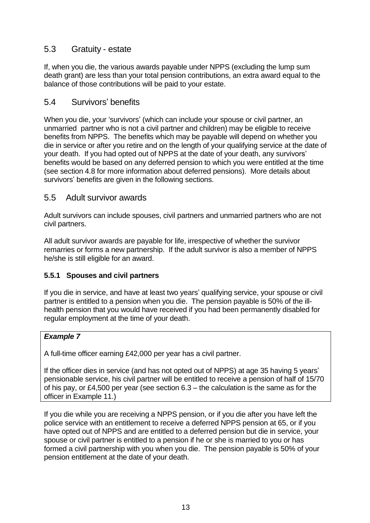### 5.3 Gratuity - estate

If, when you die, the various awards payable under NPPS (excluding the lump sum death grant) are less than your total pension contributions, an extra award equal to the balance of those contributions will be paid to your estate.

### 5.4 Survivors' benefits

When you die, your 'survivors' (which can include your spouse or civil partner, an unmarried partner who is not a civil partner and children) may be eligible to receive benefits from NPPS. The benefits which may be payable will depend on whether you die in service or after you retire and on the length of your qualifying service at the date of your death. If you had opted out of NPPS at the date of your death, any survivors' benefits would be based on any deferred pension to which you were entitled at the time (see section 4.8 for more information about deferred pensions). More details about survivors' benefits are given in the following sections.

#### 5.5 Adult survivor awards

Adult survivors can include spouses, civil partners and unmarried partners who are not civil partners.

All adult survivor awards are payable for life, irrespective of whether the survivor remarries or forms a new partnership. If the adult survivor is also a member of NPPS he/she is still eligible for an award.

#### **5.5.1 Spouses and civil partners**

If you die in service, and have at least two years' qualifying service, your spouse or civil partner is entitled to a pension when you die. The pension payable is 50% of the illhealth pension that you would have received if you had been permanently disabled for regular employment at the time of your death.

#### *Example 7*

A full-time officer earning £42,000 per year has a civil partner.

If the officer dies in service (and has not opted out of NPPS) at age 35 having 5 years' pensionable service, his civil partner will be entitled to receive a pension of half of 15/70 of his pay, or £4,500 per year (see section 6.3 – the calculation is the same as for the officer in Example 11.)

If you die while you are receiving a NPPS pension, or if you die after you have left the police service with an entitlement to receive a deferred NPPS pension at 65, or if you have opted out of NPPS and are entitled to a deferred pension but die in service, your spouse or civil partner is entitled to a pension if he or she is married to you or has formed a civil partnership with you when you die. The pension payable is 50% of your pension entitlement at the date of your death.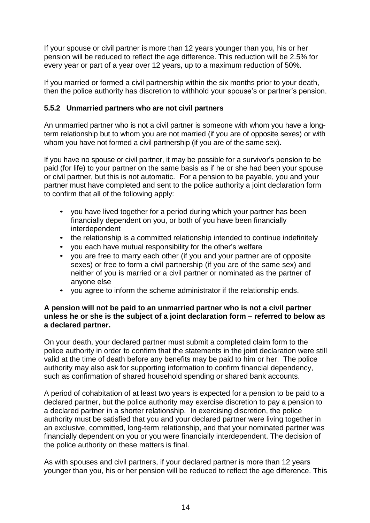If your spouse or civil partner is more than 12 years younger than you, his or her pension will be reduced to reflect the age difference. This reduction will be 2.5% for every year or part of a year over 12 years, up to a maximum reduction of 50%.

If you married or formed a civil partnership within the six months prior to your death, then the police authority has discretion to withhold your spouse's or partner's pension.

#### **5.5.2 Unmarried partners who are not civil partners**

An unmarried partner who is not a civil partner is someone with whom you have a longterm relationship but to whom you are not married (if you are of opposite sexes) or with whom you have not formed a civil partnership (if you are of the same sex).

If you have no spouse or civil partner, it may be possible for a survivor's pension to be paid (for life) to your partner on the same basis as if he or she had been your spouse or civil partner, but this is not automatic. For a pension to be payable, you and your partner must have completed and sent to the police authority a joint declaration form to confirm that all of the following apply:

- you have lived together for a period during which your partner has been financially dependent on you, or both of you have been financially interdependent
- the relationship is a committed relationship intended to continue indefinitely
- you each have mutual responsibility for the other's welfare
- you are free to marry each other (if you and your partner are of opposite sexes) or free to form a civil partnership (if you are of the same sex) and neither of you is married or a civil partner or nominated as the partner of anyone else
- you agree to inform the scheme administrator if the relationship ends.

#### **A pension will not be paid to an unmarried partner who is not a civil partner unless he or she is the subject of a joint declaration form – referred to below as a declared partner.**

On your death, your declared partner must submit a completed claim form to the police authority in order to confirm that the statements in the joint declaration were still valid at the time of death before any benefits may be paid to him or her. The police authority may also ask for supporting information to confirm financial dependency, such as confirmation of shared household spending or shared bank accounts.

A period of cohabitation of at least two years is expected for a pension to be paid to a declared partner, but the police authority may exercise discretion to pay a pension to a declared partner in a shorter relationship. In exercising discretion, the police authority must be satisfied that you and your declared partner were living together in an exclusive, committed, long-term relationship, and that your nominated partner was financially dependent on you or you were financially interdependent. The decision of the police authority on these matters is final.

As with spouses and civil partners, if your declared partner is more than 12 years younger than you, his or her pension will be reduced to reflect the age difference. This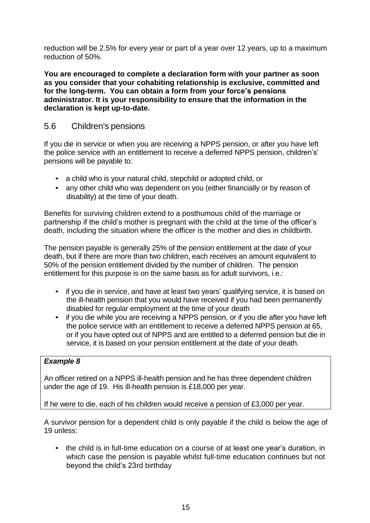reduction will be 2.5% for every year or part of a year over 12 years, up to a maximum reduction of 50%.

**You are encouraged to complete a declaration form with your partner as soon as you consider that your cohabiting relationship is exclusive, committed and for the long-term. You can obtain a form from your force's pensions administrator. It is your responsibility to ensure that the information in the declaration is kept up-to-date.**

### 5.6 Children's pensions

If you die in service or when you are receiving a NPPS pension, or after you have left the police service with an entitlement to receive a deferred NPPS pension, children's' pensions will be payable to:

- a child who is your natural child, stepchild or adopted child, or
- any other child who was dependent on you (either financially or by reason of disability) at the time of your death.

Benefits for surviving children extend to a posthumous child of the marriage or partnership if the child's mother is pregnant with the child at the time of the officer's death, including the situation where the officer is the mother and dies in childbirth.

The pension payable is generally 25% of the pension entitlement at the date of your death, but if there are more than two children, each receives an amount equivalent to 50% of the pension entitlement divided by the number of children. The pension entitlement for this purpose is on the same basis as for adult survivors, i.e.:

- if you die in service, and have at least two years' qualifying service, it is based on the ill-health pension that you would have received if you had been permanently disabled for regular employment at the time of your death
- if you die while you are receiving a NPPS pension, or if you die after you have left the police service with an entitlement to receive a deferred NPPS pension at 65, or if you have opted out of NPPS and are entitled to a deferred pension but die in service, it is based on your pension entitlement at the date of your death.

#### *Example 8*

An officer retired on a NPPS ill-health pension and he has three dependent children under the age of 19. His ill-health pension is £18,000 per year.

If he were to die, each of his children would receive a pension of £3,000 per year.

A survivor pension for a dependent child is only payable if the child is below the age of 19 unless:

• the child is in full-time education on a course of at least one year's duration, in which case the pension is payable whilst full-time education continues but not beyond the child's 23rd birthday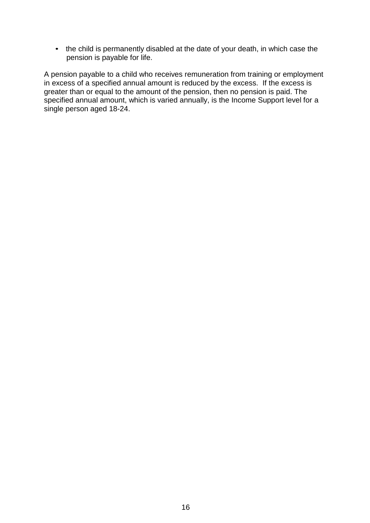• the child is permanently disabled at the date of your death, in which case the pension is payable for life.

A pension payable to a child who receives remuneration from training or employment in excess of a specified annual amount is reduced by the excess. If the excess is greater than or equal to the amount of the pension, then no pension is paid. The specified annual amount, which is varied annually, is the Income Support level for a single person aged 18-24.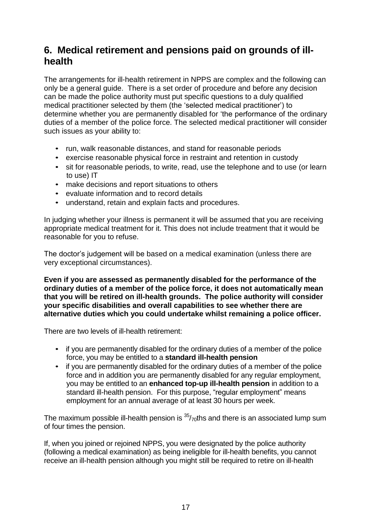## **6. Medical retirement and pensions paid on grounds of illhealth**

The arrangements for ill-health retirement in NPPS are complex and the following can only be a general guide. There is a set order of procedure and before any decision can be made the police authority must put specific questions to a duly qualified medical practitioner selected by them (the 'selected medical practitioner') to determine whether you are permanently disabled for 'the performance of the ordinary duties of a member of the police force. The selected medical practitioner will consider such issues as your ability to:

- run, walk reasonable distances, and stand for reasonable periods
- exercise reasonable physical force in restraint and retention in custody
- sit for reasonable periods, to write, read, use the telephone and to use (or learn to use) IT
- make decisions and report situations to others
- evaluate information and to record details
- understand, retain and explain facts and procedures.

In judging whether your illness is permanent it will be assumed that you are receiving appropriate medical treatment for it. This does not include treatment that it would be reasonable for you to refuse.

The doctor's judgement will be based on a medical examination (unless there are very exceptional circumstances).

**Even if you are assessed as permanently disabled for the performance of the ordinary duties of a member of the police force, it does not automatically mean that you will be retired on ill-health grounds. The police authority will consider your specific disabilities and overall capabilities to see whether there are alternative duties which you could undertake whilst remaining a police officer.**

There are two levels of ill-health retirement:

- if you are permanently disabled for the ordinary duties of a member of the police force, you may be entitled to a **standard ill-health pension**
- if you are permanently disabled for the ordinary duties of a member of the police force and in addition you are permanently disabled for any regular employment, you may be entitled to an **enhanced top-up ill-health pension** in addition to a standard ill-health pension. For this purpose, "regular employment" means employment for an annual average of at least 30 hours per week.

The maximum possible ill-health pension is  $\frac{35}{70}$ ths and there is an associated lump sum of four times the pension.

If, when you joined or rejoined NPPS, you were designated by the police authority (following a medical examination) as being ineligible for ill-health benefits, you cannot receive an ill-health pension although you might still be required to retire on ill-health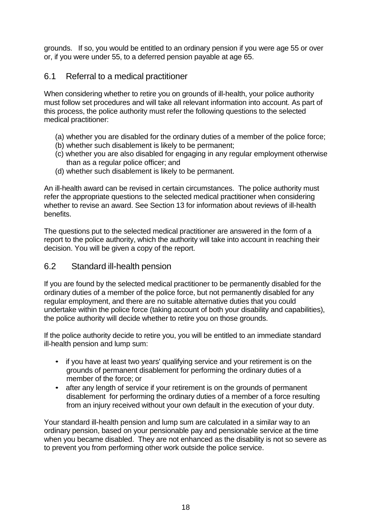grounds. If so, you would be entitled to an ordinary pension if you were age 55 or over or, if you were under 55, to a deferred pension payable at age 65.

### 6.1 Referral to a medical practitioner

When considering whether to retire you on grounds of ill-health, your police authority must follow set procedures and will take all relevant information into account. As part of this process, the police authority must refer the following questions to the selected medical practitioner:

- (a) whether you are disabled for the ordinary duties of a member of the police force;
- (b) whether such disablement is likely to be permanent;
- (c) whether you are also disabled for engaging in any regular employment otherwise than as a regular police officer; and
- (d) whether such disablement is likely to be permanent.

An ill-health award can be revised in certain circumstances. The police authority must refer the appropriate questions to the selected medical practitioner when considering whether to revise an award. See Section 13 for information about reviews of ill-health benefits.

The questions put to the selected medical practitioner are answered in the form of a report to the police authority, which the authority will take into account in reaching their decision. You will be given a copy of the report.

#### 6.2 Standard ill-health pension

If you are found by the selected medical practitioner to be permanently disabled for the ordinary duties of a member of the police force, but not permanently disabled for any regular employment, and there are no suitable alternative duties that you could undertake within the police force (taking account of both your disability and capabilities), the police authority will decide whether to retire you on those grounds.

If the police authority decide to retire you, you will be entitled to an immediate standard ill-health pension and lump sum:

- if you have at least two years' qualifying service and your retirement is on the grounds of permanent disablement for performing the ordinary duties of a member of the force; or
- after any length of service if your retirement is on the grounds of permanent disablement for performing the ordinary duties of a member of a force resulting from an injury received without your own default in the execution of your duty.

Your standard ill-health pension and lump sum are calculated in a similar way to an ordinary pension, based on your pensionable pay and pensionable service at the time when you became disabled. They are not enhanced as the disability is not so severe as to prevent you from performing other work outside the police service.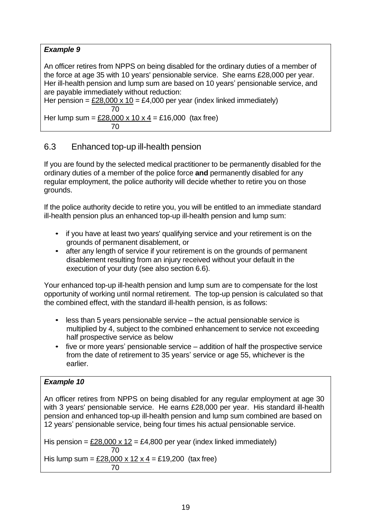### *Example 9*

An officer retires from NPPS on being disabled for the ordinary duties of a member of the force at age 35 with 10 years' pensionable service. She earns £28,000 per year. Her ill-health pension and lump sum are based on 10 years' pensionable service, and are payable immediately without reduction:

Her pension =  $£28,000 \times 10 = £4,000$  per year (index linked immediately) 70 Her lump sum = £28,000 x 10 x 4 = £16,000 (tax free) 70

## 6.3 Enhanced top-up ill-health pension

If you are found by the selected medical practitioner to be permanently disabled for the ordinary duties of a member of the police force **and** permanently disabled for any regular employment, the police authority will decide whether to retire you on those grounds.

If the police authority decide to retire you, you will be entitled to an immediate standard ill-health pension plus an enhanced top-up ill-health pension and lump sum:

- if you have at least two years' qualifying service and your retirement is on the grounds of permanent disablement, or
- after any length of service if your retirement is on the grounds of permanent disablement resulting from an injury received without your default in the execution of your duty (see also section 6.6).

Your enhanced top-up ill-health pension and lump sum are to compensate for the lost opportunity of working until normal retirement. The top-up pension is calculated so that the combined effect, with the standard ill-health pension, is as follows:

- less than 5 years pensionable service the actual pensionable service is multiplied by 4, subject to the combined enhancement to service not exceeding half prospective service as below
- five or more years' pensionable service addition of half the prospective service from the date of retirement to 35 years' service or age 55, whichever is the earlier.

#### *Example 10*

An officer retires from NPPS on being disabled for any regular employment at age 30 with 3 years' pensionable service. He earns £28,000 per year. His standard ill-health pension and enhanced top-up ill-health pension and lump sum combined are based on 12 years' pensionable service, being four times his actual pensionable service.

His pension =  $£28,000 \times 12 = £4,800$  per year (index linked immediately) 70 His lump sum =  $£28,000 \times 12 \times 4 = £19,200$  (tax free) 70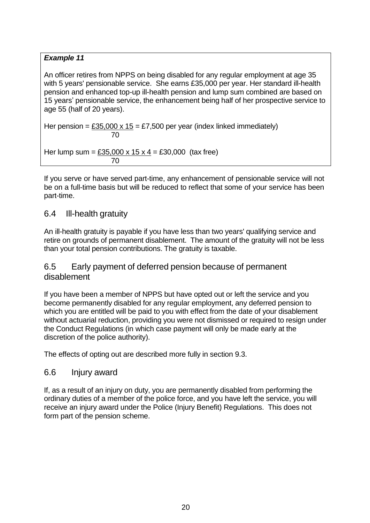#### *Example 11*

An officer retires from NPPS on being disabled for any regular employment at age 35 with 5 years' pensionable service. She earns £35,000 per year. Her standard ill-health pension and enhanced top-up ill-health pension and lump sum combined are based on 15 years' pensionable service, the enhancement being half of her prospective service to age 55 (half of 20 years).

Her pension =  $£35,000 \times 15 = £7,500$  per year (index linked immediately) 70

Her lump sum =  $£35,000 \times 15 \times 4 = £30,000$  (tax free) 70

If you serve or have served part-time, any enhancement of pensionable service will not be on a full-time basis but will be reduced to reflect that some of your service has been part-time.

#### 6.4 Ill-health gratuity

An ill-health gratuity is payable if you have less than two years' qualifying service and retire on grounds of permanent disablement. The amount of the gratuity will not be less than your total pension contributions. The gratuity is taxable.

### 6.5 Early payment of deferred pension because of permanent disablement

If you have been a member of NPPS but have opted out or left the service and you become permanently disabled for any regular employment, any deferred pension to which you are entitled will be paid to you with effect from the date of your disablement without actuarial reduction, providing you were not dismissed or required to resign under the Conduct Regulations (in which case payment will only be made early at the discretion of the police authority).

The effects of opting out are described more fully in section 9.3.

## 6.6 Injury award

If, as a result of an injury on duty, you are permanently disabled from performing the ordinary duties of a member of the police force, and you have left the service, you will receive an injury award under the Police (Injury Benefit) Regulations. This does not form part of the pension scheme.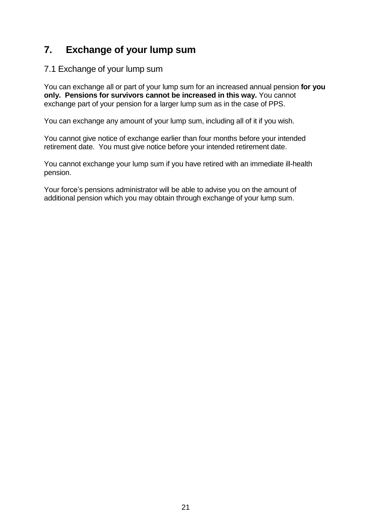## **7. Exchange of your lump sum**

#### 7.1 Exchange of your lump sum

You can exchange all or part of your lump sum for an increased annual pension **for you only. Pensions for survivors cannot be increased in this way.** You cannot exchange part of your pension for a larger lump sum as in the case of PPS.

You can exchange any amount of your lump sum, including all of it if you wish.

You cannot give notice of exchange earlier than four months before your intended retirement date. You must give notice before your intended retirement date.

You cannot exchange your lump sum if you have retired with an immediate ill-health pension.

Your force's pensions administrator will be able to advise you on the amount of additional pension which you may obtain through exchange of your lump sum.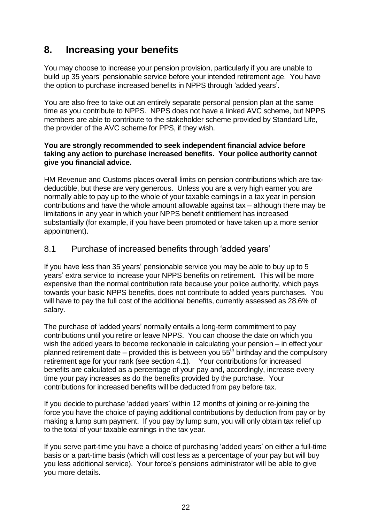## **8. Increasing your benefits**

You may choose to increase your pension provision, particularly if you are unable to build up 35 years' pensionable service before your intended retirement age. You have the option to purchase increased benefits in NPPS through 'added years'.

You are also free to take out an entirely separate personal pension plan at the same time as you contribute to NPPS. NPPS does not have a linked AVC scheme, but NPPS members are able to contribute to the stakeholder scheme provided by Standard Life, the provider of the AVC scheme for PPS, if they wish.

#### **You are strongly recommended to seek independent financial advice before taking any action to purchase increased benefits. Your police authority cannot give you financial advice.**

HM Revenue and Customs places overall limits on pension contributions which are taxdeductible, but these are very generous. Unless you are a very high earner you are normally able to pay up to the whole of your taxable earnings in a tax year in pension contributions and have the whole amount allowable against tax – although there may be limitations in any year in which your NPPS benefit entitlement has increased substantially (for example, if you have been promoted or have taken up a more senior appointment).

#### 8.1 Purchase of increased benefits through 'added years'

If you have less than 35 years' pensionable service you may be able to buy up to 5 years' extra service to increase your NPPS benefits on retirement. This will be more expensive than the normal contribution rate because your police authority, which pays towards your basic NPPS benefits, does not contribute to added years purchases. You will have to pay the full cost of the additional benefits, currently assessed as 28.6% of salary.

The purchase of 'added years' normally entails a long-term commitment to pay contributions until you retire or leave NPPS. You can choose the date on which you wish the added years to become reckonable in calculating your pension – in effect your planned retirement date – provided this is between you  $55<sup>th</sup>$  birthday and the compulsory retirement age for your rank (see section 4.1). Your contributions for increased benefits are calculated as a percentage of your pay and, accordingly, increase every time your pay increases as do the benefits provided by the purchase. Your contributions for increased benefits will be deducted from pay before tax.

If you decide to purchase 'added years' within 12 months of joining or re-joining the force you have the choice of paying additional contributions by deduction from pay or by making a lump sum payment. If you pay by lump sum, you will only obtain tax relief up to the total of your taxable earnings in the tax year.

If you serve part-time you have a choice of purchasing 'added years' on either a full-time basis or a part-time basis (which will cost less as a percentage of your pay but will buy you less additional service). Your force's pensions administrator will be able to give you more details.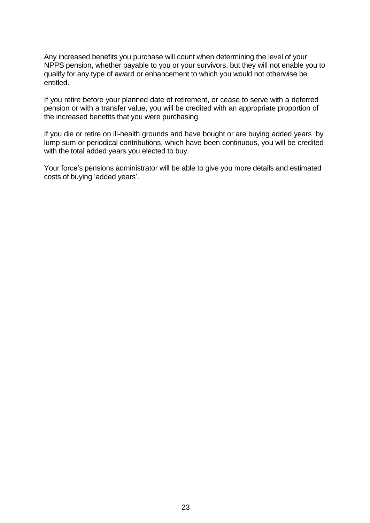Any increased benefits you purchase will count when determining the level of your NPPS pension, whether payable to you or your survivors, but they will not enable you to qualify for any type of award or enhancement to which you would not otherwise be entitled.

If you retire before your planned date of retirement, or cease to serve with a deferred pension or with a transfer value, you will be credited with an appropriate proportion of the increased benefits that you were purchasing.

If you die or retire on ill-health grounds and have bought or are buying added years by lump sum or periodical contributions, which have been continuous, you will be credited with the total added years you elected to buy.

Your force's pensions administrator will be able to give you more details and estimated costs of buying 'added years'.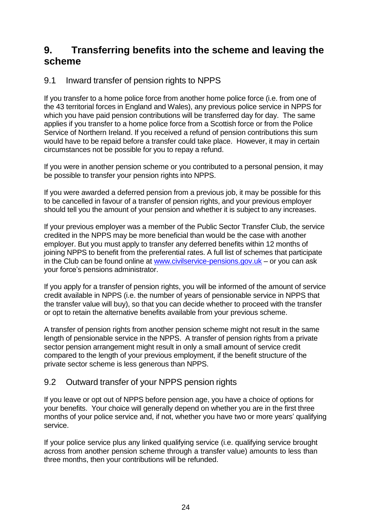## **9. Transferring benefits into the scheme and leaving the scheme**

## 9.1 Inward transfer of pension rights to NPPS

If you transfer to a home police force from another home police force (i.e. from one of the 43 territorial forces in England and Wales), any previous police service in NPPS for which you have paid pension contributions will be transferred day for day. The same applies if you transfer to a home police force from a Scottish force or from the Police Service of Northern Ireland. If you received a refund of pension contributions this sum would have to be repaid before a transfer could take place. However, it may in certain circumstances not be possible for you to repay a refund.

If you were in another pension scheme or you contributed to a personal pension, it may be possible to transfer your pension rights into NPPS.

If you were awarded a deferred pension from a previous job, it may be possible for this to be cancelled in favour of a transfer of pension rights, and your previous employer should tell you the amount of your pension and whether it is subject to any increases.

If your previous employer was a member of the Public Sector Transfer Club, the service credited in the NPPS may be more beneficial than would be the case with another employer. But you must apply to transfer any deferred benefits within 12 months of joining NPPS to benefit from the preferential rates. A full list of schemes that participate in the Club can be found online at  $www.civilService-pensions.gov.uk - or you can ask$ your force's pensions administrator.

If you apply for a transfer of pension rights, you will be informed of the amount of service credit available in NPPS (i.e. the number of years of pensionable service in NPPS that the transfer value will buy), so that you can decide whether to proceed with the transfer or opt to retain the alternative benefits available from your previous scheme.

A transfer of pension rights from another pension scheme might not result in the same length of pensionable service in the NPPS. A transfer of pension rights from a private sector pension arrangement might result in only a small amount of service credit compared to the length of your previous employment, if the benefit structure of the private sector scheme is less generous than NPPS.

## 9.2 Outward transfer of your NPPS pension rights

If you leave or opt out of NPPS before pension age, you have a choice of options for your benefits. Your choice will generally depend on whether you are in the first three months of your police service and, if not, whether you have two or more years' qualifying service.

If your police service plus any linked qualifying service (i.e. qualifying service brought across from another pension scheme through a transfer value) amounts to less than three months, then your contributions will be refunded.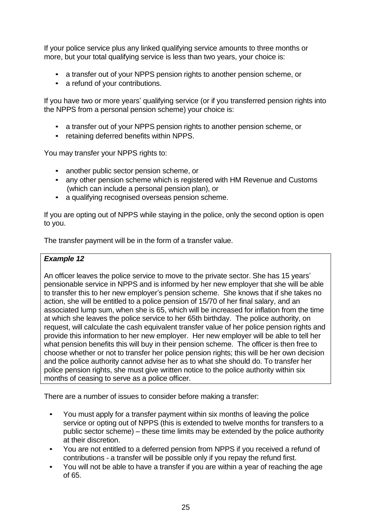If your police service plus any linked qualifying service amounts to three months or more, but your total qualifying service is less than two years, your choice is:

- a transfer out of your NPPS pension rights to another pension scheme, or
- a refund of your contributions.

If you have two or more years' qualifying service (or if you transferred pension rights into the NPPS from a personal pension scheme) your choice is:

- a transfer out of your NPPS pension rights to another pension scheme, or
- retaining deferred benefits within NPPS.

You may transfer your NPPS rights to:

- another public sector pension scheme, or
- any other pension scheme which is registered with HM Revenue and Customs (which can include a personal pension plan), or
- a qualifying recognised overseas pension scheme.

If you are opting out of NPPS while staying in the police, only the second option is open to you.

The transfer payment will be in the form of a transfer value.

#### *Example 12*

An officer leaves the police service to move to the private sector. She has 15 years' pensionable service in NPPS and is informed by her new employer that she will be able to transfer this to her new employer's pension scheme. She knows that if she takes no action, she will be entitled to a police pension of 15/70 of her final salary, and an associated lump sum, when she is 65, which will be increased for inflation from the time at which she leaves the police service to her 65th birthday. The police authority, on request, will calculate the cash equivalent transfer value of her police pension rights and provide this information to her new employer. Her new employer will be able to tell her what pension benefits this will buy in their pension scheme. The officer is then free to choose whether or not to transfer her police pension rights; this will be her own decision and the police authority cannot advise her as to what she should do. To transfer her police pension rights, she must give written notice to the police authority within six months of ceasing to serve as a police officer.

There are a number of issues to consider before making a transfer:

- You must apply for a transfer payment within six months of leaving the police service or opting out of NPPS (this is extended to twelve months for transfers to a public sector scheme) – these time limits may be extended by the police authority at their discretion.
- You are not entitled to a deferred pension from NPPS if you received a refund of contributions - a transfer will be possible only if you repay the refund first.
- You will not be able to have a transfer if you are within a year of reaching the age of 65.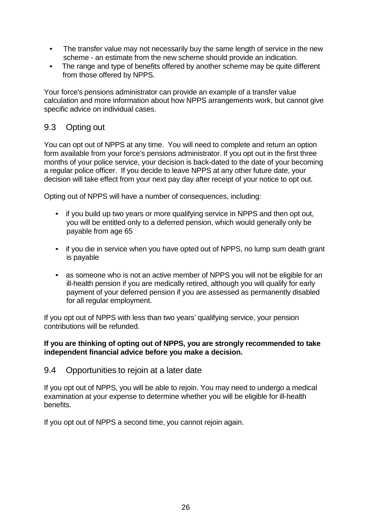- The transfer value may not necessarily buy the same length of service in the new scheme - an estimate from the new scheme should provide an indication.
- The range and type of benefits offered by another scheme may be quite different from those offered by NPPS.

Your force's pensions administrator can provide an example of a transfer value calculation and more information about how NPPS arrangements work, but cannot give specific advice on individual cases.

### 9.3 Opting out

You can opt out of NPPS at any time. You will need to complete and return an option form available from your force's pensions administrator. If you opt out in the first three months of your police service, your decision is back-dated to the date of your becoming a regular police officer. If you decide to leave NPPS at any other future date, your decision will take effect from your next pay day after receipt of your notice to opt out.

Opting out of NPPS will have a number of consequences, including:

- if you build up two years or more qualifying service in NPPS and then opt out, you will be entitled only to a deferred pension, which would generally only be payable from age 65
- if you die in service when you have opted out of NPPS, no lump sum death grant is payable
- as someone who is not an active member of NPPS you will not be eligible for an ill-health pension if you are medically retired, although you will qualify for early payment of your deferred pension if you are assessed as permanently disabled for all regular employment.

If you opt out of NPPS with less than two years' qualifying service, your pension contributions will be refunded.

#### **If you are thinking of opting out of NPPS, you are strongly recommended to take independent financial advice before you make a decision.**

#### 9.4 Opportunities to rejoin at a later date

If you opt out of NPPS, you will be able to rejoin. You may need to undergo a medical examination at your expense to determine whether you will be eligible for ill-health benefits.

If you opt out of NPPS a second time, you cannot rejoin again.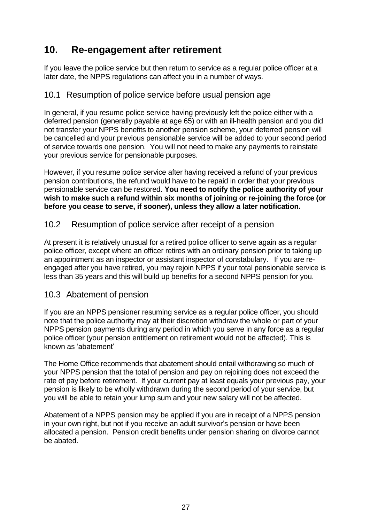## **10. Re-engagement after retirement**

If you leave the police service but then return to service as a regular police officer at a later date, the NPPS regulations can affect you in a number of ways.

### 10.1 Resumption of police service before usual pension age

In general, if you resume police service having previously left the police either with a deferred pension (generally payable at age 65) or with an ill-health pension and you did not transfer your NPPS benefits to another pension scheme, your deferred pension will be cancelled and your previous pensionable service will be added to your second period of service towards one pension. You will not need to make any payments to reinstate your previous service for pensionable purposes.

However, if you resume police service after having received a refund of your previous pension contributions, the refund would have to be repaid in order that your previous pensionable service can be restored. **You need to notify the police authority of your wish to make such a refund within six months of joining or re-joining the force (or before you cease to serve, if sooner), unless they allow a later notification.**

### 10.2 Resumption of police service after receipt of a pension

At present it is relatively unusual for a retired police officer to serve again as a regular police officer, except where an officer retires with an ordinary pension prior to taking up an appointment as an inspector or assistant inspector of constabulary. If you are reengaged after you have retired, you may rejoin NPPS if your total pensionable service is less than 35 years and this will build up benefits for a second NPPS pension for you.

#### 10.3 Abatement of pension

If you are an NPPS pensioner resuming service as a regular police officer, you should note that the police authority may at their discretion withdraw the whole or part of your NPPS pension payments during any period in which you serve in any force as a regular police officer (your pension entitlement on retirement would not be affected). This is known as 'abatement'

The Home Office recommends that abatement should entail withdrawing so much of your NPPS pension that the total of pension and pay on rejoining does not exceed the rate of pay before retirement. If your current pay at least equals your previous pay, your pension is likely to be wholly withdrawn during the second period of your service, but you will be able to retain your lump sum and your new salary will not be affected.

Abatement of a NPPS pension may be applied if you are in receipt of a NPPS pension in your own right, but not if you receive an adult survivor's pension or have been allocated a pension. Pension credit benefits under pension sharing on divorce cannot be abated.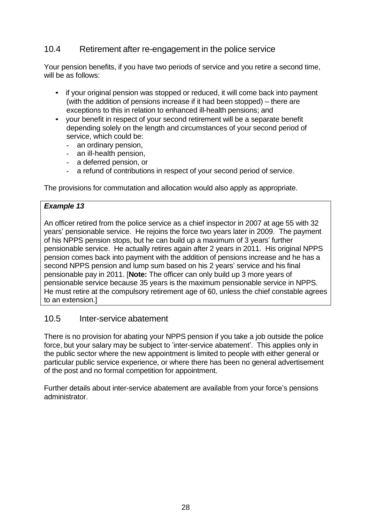## 10.4 Retirement after re-engagement in the police service

Your pension benefits, if you have two periods of service and you retire a second time, will be as follows:

- if your original pension was stopped or reduced, it will come back into payment (with the addition of pensions increase if it had been stopped) – there are exceptions to this in relation to enhanced ill-health pensions; and
- your benefit in respect of your second retirement will be a separate benefit depending solely on the length and circumstances of your second period of service, which could be:
	- an ordinary pension,
	- an ill-health pension,
	- a deferred pension, or
	- a refund of contributions in respect of your second period of service.

The provisions for commutation and allocation would also apply as appropriate.

#### *Example 13*

An officer retired from the police service as a chief inspector in 2007 at age 55 with 32 years' pensionable service. He rejoins the force two years later in 2009. The payment of his NPPS pension stops, but he can build up a maximum of 3 years' further pensionable service. He actually retires again after 2 years in 2011. His original NPPS pension comes back into payment with the addition of pensions increase and he has a second NPPS pension and lump sum based on his 2 years' service and his final pensionable pay in 2011. [**Note:** The officer can only build up 3 more years of pensionable service because 35 years is the maximum pensionable service in NPPS. He must retire at the compulsory retirement age of 60, unless the chief constable agrees to an extension.]

#### 10.5 Inter-service abatement

There is no provision for abating your NPPS pension if you take a job outside the police force, but your salary may be subject to 'inter-service abatement'. This applies only in the public sector where the new appointment is limited to people with either general or particular public service experience, or where there has been no general advertisement of the post and no formal competition for appointment.

Further details about inter-service abatement are available from your force's pensions administrator.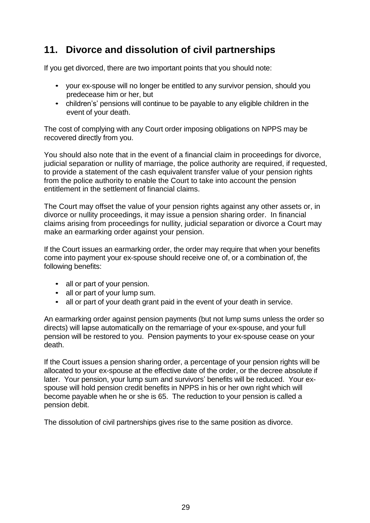## **11. Divorce and dissolution of civil partnerships**

If you get divorced, there are two important points that you should note:

- your ex-spouse will no longer be entitled to any survivor pension, should you predecease him or her, but
- children's' pensions will continue to be payable to any eligible children in the event of your death.

The cost of complying with any Court order imposing obligations on NPPS may be recovered directly from you.

You should also note that in the event of a financial claim in proceedings for divorce, judicial separation or nullity of marriage, the police authority are required, if requested, to provide a statement of the cash equivalent transfer value of your pension rights from the police authority to enable the Court to take into account the pension entitlement in the settlement of financial claims.

The Court may offset the value of your pension rights against any other assets or, in divorce or nullity proceedings, it may issue a pension sharing order. In financial claims arising from proceedings for nullity, judicial separation or divorce a Court may make an earmarking order against your pension.

If the Court issues an earmarking order, the order may require that when your benefits come into payment your ex-spouse should receive one of, or a combination of, the following benefits:

- all or part of your pension.
- all or part of your lump sum.
- all or part of your death grant paid in the event of your death in service.

An earmarking order against pension payments (but not lump sums unless the order so directs) will lapse automatically on the remarriage of your ex-spouse, and your full pension will be restored to you. Pension payments to your ex-spouse cease on your death.

If the Court issues a pension sharing order, a percentage of your pension rights will be allocated to your ex-spouse at the effective date of the order, or the decree absolute if later. Your pension, your lump sum and survivors' benefits will be reduced. Your exspouse will hold pension credit benefits in NPPS in his or her own right which will become payable when he or she is 65. The reduction to your pension is called a pension debit.

The dissolution of civil partnerships gives rise to the same position as divorce.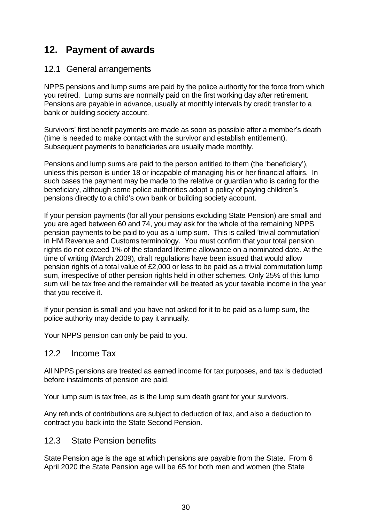## **12. Payment of awards**

### 12.1 General arrangements

NPPS pensions and lump sums are paid by the police authority for the force from which you retired. Lump sums are normally paid on the first working day after retirement. Pensions are payable in advance, usually at monthly intervals by credit transfer to a bank or building society account.

Survivors' first benefit payments are made as soon as possible after a member's death (time is needed to make contact with the survivor and establish entitlement). Subsequent payments to beneficiaries are usually made monthly.

Pensions and lump sums are paid to the person entitled to them (the 'beneficiary'), unless this person is under 18 or incapable of managing his or her financial affairs. In such cases the payment may be made to the relative or guardian who is caring for the beneficiary, although some police authorities adopt a policy of paying children's pensions directly to a child's own bank or building society account.

If your pension payments (for all your pensions excluding State Pension) are small and you are aged between 60 and 74, you may ask for the whole of the remaining NPPS pension payments to be paid to you as a lump sum. This is called 'trivial commutation' in HM Revenue and Customs terminology. You must confirm that your total pension rights do not exceed 1% of the standard lifetime allowance on a nominated date. At the time of writing (March 2009), draft regulations have been issued that would allow pension rights of a total value of £2,000 or less to be paid as a trivial commutation lump sum, irrespective of other pension rights held in other schemes. Only 25% of this lump sum will be tax free and the remainder will be treated as your taxable income in the year that you receive it.

If your pension is small and you have not asked for it to be paid as a lump sum, the police authority may decide to pay it annually.

Your NPPS pension can only be paid to you.

#### 12.2 Income Tax

All NPPS pensions are treated as earned income for tax purposes, and tax is deducted before instalments of pension are paid.

Your lump sum is tax free, as is the lump sum death grant for your survivors.

Any refunds of contributions are subject to deduction of tax, and also a deduction to contract you back into the State Second Pension.

## 12.3 State Pension benefits

State Pension age is the age at which pensions are payable from the State. From 6 April 2020 the State Pension age will be 65 for both men and women (the State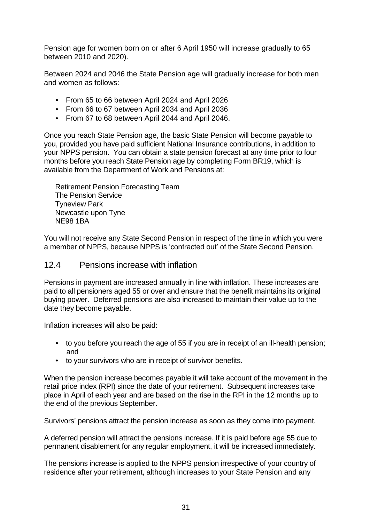Pension age for women born on or after 6 April 1950 will increase gradually to 65 between 2010 and 2020).

Between 2024 and 2046 the State Pension age will gradually increase for both men and women as follows:

- From 65 to 66 between April 2024 and April 2026
- From 66 to 67 between April 2034 and April 2036
- From 67 to 68 between April 2044 and April 2046.

Once you reach State Pension age, the basic State Pension will become payable to you, provided you have paid sufficient National Insurance contributions, in addition to your NPPS pension. You can obtain a state pension forecast at any time prior to four months before you reach State Pension age by completing Form BR19, which is available from the Department of Work and Pensions at:

Retirement Pension Forecasting Team The Pension Service Tyneview Park Newcastle upon Tyne NE98 1BA

You will not receive any State Second Pension in respect of the time in which you were a member of NPPS, because NPPS is 'contracted out' of the State Second Pension.

#### 12.4 Pensions increase with inflation

Pensions in payment are increased annually in line with inflation. These increases are paid to all pensioners aged 55 or over and ensure that the benefit maintains its original buying power. Deferred pensions are also increased to maintain their value up to the date they become payable.

Inflation increases will also be paid:

- to you before you reach the age of 55 if you are in receipt of an ill-health pension; and
- to your survivors who are in receipt of survivor benefits.

When the pension increase becomes payable it will take account of the movement in the retail price index (RPI) since the date of your retirement. Subsequent increases take place in April of each year and are based on the rise in the RPI in the 12 months up to the end of the previous September.

Survivors' pensions attract the pension increase as soon as they come into payment.

A deferred pension will attract the pensions increase. If it is paid before age 55 due to permanent disablement for any regular employment, it will be increased immediately.

The pensions increase is applied to the NPPS pension irrespective of your country of residence after your retirement, although increases to your State Pension and any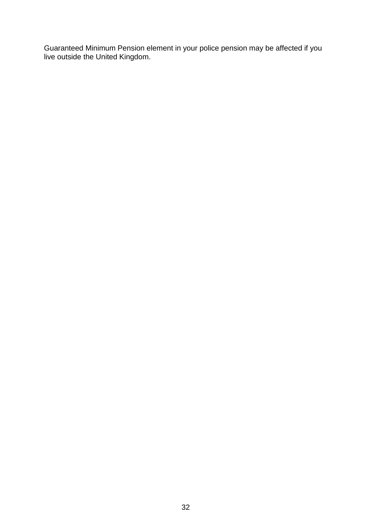Guaranteed Minimum Pension element in your police pension may be affected if you live outside the United Kingdom.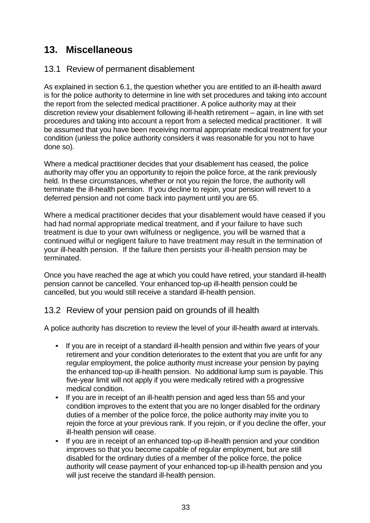## **13. Miscellaneous**

### 13.1 Review of permanent disablement

As explained in section 6.1, the question whether you are entitled to an ill-health award is for the police authority to determine in line with set procedures and taking into account the report from the selected medical practitioner. A police authority may at their discretion review your disablement following ill-health retirement – again, in line with set procedures and taking into account a report from a selected medical practitioner. It will be assumed that you have been receiving normal appropriate medical treatment for your condition (unless the police authority considers it was reasonable for you not to have done so).

Where a medical practitioner decides that your disablement has ceased, the police authority may offer you an opportunity to rejoin the police force, at the rank previously held. In these circumstances, whether or not you rejoin the force, the authority will terminate the ill-health pension. If you decline to rejoin, your pension will revert to a deferred pension and not come back into payment until you are 65.

Where a medical practitioner decides that your disablement would have ceased if you had had normal appropriate medical treatment, and if your failure to have such treatment is due to your own wilfulness or negligence, you will be warned that a continued wilful or negligent failure to have treatment may result in the termination of your ill-health pension. If the failure then persists your ill-health pension may be terminated.

Once you have reached the age at which you could have retired, your standard ill-health pension cannot be cancelled. Your enhanced top-up ill-health pension could be cancelled, but you would still receive a standard ill-health pension.

## 13.2 Review of your pension paid on grounds of ill health

A police authority has discretion to review the level of your ill-health award at intervals.

- If you are in receipt of a standard ill-health pension and within five years of your retirement and your condition deteriorates to the extent that you are unfit for any regular employment, the police authority must increase your pension by paying the enhanced top-up ill-health pension. No additional lump sum is payable. This five-year limit will not apply if you were medically retired with a progressive medical condition.
- If you are in receipt of an ill-health pension and aged less than 55 and your condition improves to the extent that you are no longer disabled for the ordinary duties of a member of the police force, the police authority may invite you to rejoin the force at your previous rank. If you rejoin, or if you decline the offer, your ill-health pension will cease.
- If you are in receipt of an enhanced top-up ill-health pension and your condition improves so that you become capable of regular employment, but are still disabled for the ordinary duties of a member of the police force, the police authority will cease payment of your enhanced top-up ill-health pension and you will just receive the standard ill-health pension.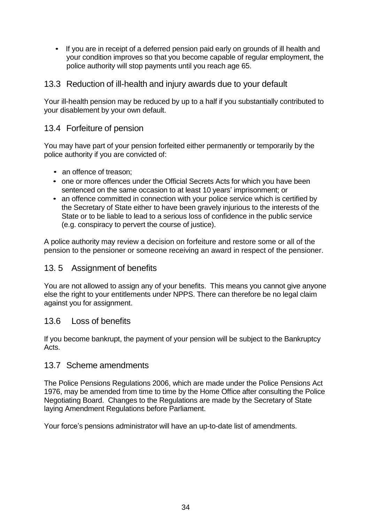• If you are in receipt of a deferred pension paid early on grounds of ill health and your condition improves so that you become capable of regular employment, the police authority will stop payments until you reach age 65.

#### 13.3 Reduction of ill-health and injury awards due to your default

Your ill-health pension may be reduced by up to a half if you substantially contributed to your disablement by your own default.

#### 13.4 Forfeiture of pension

You may have part of your pension forfeited either permanently or temporarily by the police authority if you are convicted of:

- an offence of treason:
- one or more offences under the Official Secrets Acts for which you have been sentenced on the same occasion to at least 10 years' imprisonment; or
- an offence committed in connection with your police service which is certified by the Secretary of State either to have been gravely injurious to the interests of the State or to be liable to lead to a serious loss of confidence in the public service (e.g. conspiracy to pervert the course of justice).

A police authority may review a decision on forfeiture and restore some or all of the pension to the pensioner or someone receiving an award in respect of the pensioner.

#### 13. 5 Assignment of benefits

You are not allowed to assign any of your benefits. This means you cannot give anyone else the right to your entitlements under NPPS. There can therefore be no legal claim against you for assignment.

#### 13.6 Loss of benefits

If you become bankrupt, the payment of your pension will be subject to the Bankruptcy Acts.

#### 13.7 Scheme amendments

The Police Pensions Regulations 2006, which are made under the Police Pensions Act 1976, may be amended from time to time by the Home Office after consulting the Police Negotiating Board. Changes to the Regulations are made by the Secretary of State laying Amendment Regulations before Parliament.

Your force's pensions administrator will have an up-to-date list of amendments.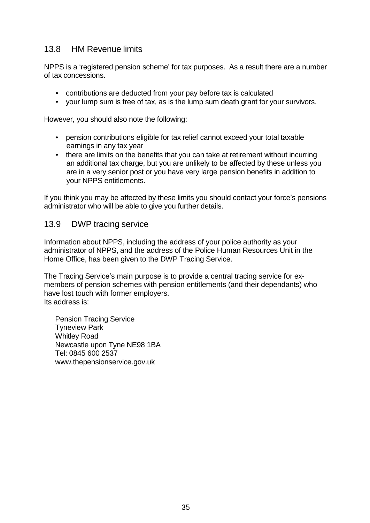## 13.8 HM Revenue limits

NPPS is a 'registered pension scheme' for tax purposes. As a result there are a number of tax concessions.

- contributions are deducted from your pay before tax is calculated
- your lump sum is free of tax, as is the lump sum death grant for your survivors.

However, you should also note the following:

- pension contributions eligible for tax relief cannot exceed your total taxable earnings in any tax year
- there are limits on the benefits that you can take at retirement without incurring an additional tax charge, but you are unlikely to be affected by these unless you are in a very senior post or you have very large pension benefits in addition to your NPPS entitlements.

If you think you may be affected by these limits you should contact your force's pensions administrator who will be able to give you further details.

#### 13.9 DWP tracing service

Information about NPPS, including the address of your police authority as your administrator of NPPS, and the address of the Police Human Resources Unit in the Home Office, has been given to the DWP Tracing Service.

The Tracing Service's main purpose is to provide a central tracing service for exmembers of pension schemes with pension entitlements (and their dependants) who have lost touch with former employers. Its address is:

Pension Tracing Service Tyneview Park Whitley Road Newcastle upon Tyne NE98 1BA Tel: 0845 600 253[7](http://www.thepensionservice.gov.uk/) [www.thepensionservice.gov.uk](http://www.thepensionservice.gov.uk/)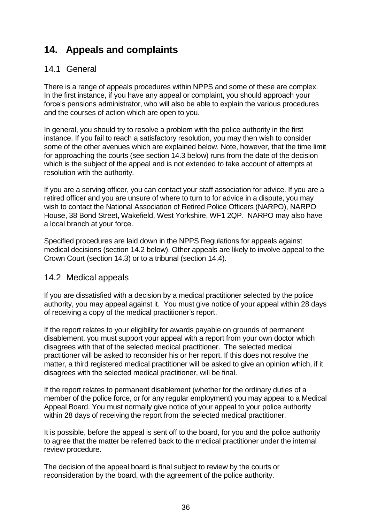## **14. Appeals and complaints**

### 14.1 General

There is a range of appeals procedures within NPPS and some of these are complex. In the first instance, if you have any appeal or complaint, you should approach your force's pensions administrator, who will also be able to explain the various procedures and the courses of action which are open to you.

In general, you should try to resolve a problem with the police authority in the first instance. If you fail to reach a satisfactory resolution, you may then wish to consider some of the other avenues which are explained below. Note, however, that the time limit for approaching the courts (see section 14.3 below) runs from the date of the decision which is the subject of the appeal and is not extended to take account of attempts at resolution with the authority.

If you are a serving officer, you can contact your staff association for advice. If you are a retired officer and you are unsure of where to turn to for advice in a dispute, you may wish to contact the National Association of Retired Police Officers (NARPO), NARPO House, 38 Bond Street, Wakefield, West Yorkshire, WF1 2QP. NARPO may also have a local branch at your force.

Specified procedures are laid down in the NPPS Regulations for appeals against medical decisions (section 14.2 below). Other appeals are likely to involve appeal to the Crown Court (section 14.3) or to a tribunal (section 14.4).

#### 14.2 Medical appeals

If you are dissatisfied with a decision by a medical practitioner selected by the police authority, you may appeal against it. You must give notice of your appeal within 28 days of receiving a copy of the medical practitioner's report.

If the report relates to your eligibility for awards payable on grounds of permanent disablement, you must support your appeal with a report from your own doctor which disagrees with that of the selected medical practitioner. The selected medical practitioner will be asked to reconsider his or her report. If this does not resolve the matter, a third registered medical practitioner will be asked to give an opinion which, if it disagrees with the selected medical practitioner, will be final.

If the report relates to permanent disablement (whether for the ordinary duties of a member of the police force, or for any regular employment) you may appeal to a Medical Appeal Board. You must normally give notice of your appeal to your police authority within 28 days of receiving the report from the selected medical practitioner.

It is possible, before the appeal is sent off to the board, for you and the police authority to agree that the matter be referred back to the medical practitioner under the internal review procedure.

The decision of the appeal board is final subject to review by the courts or reconsideration by the board, with the agreement of the police authority.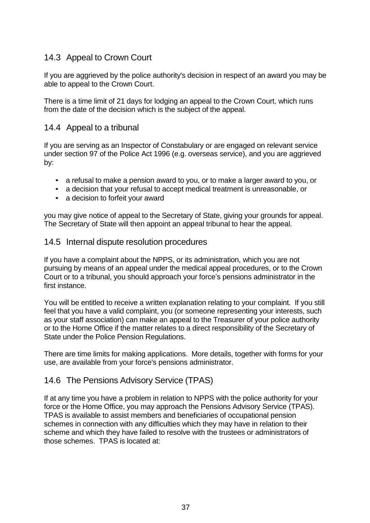## 14.3 Appeal to Crown Court

If you are aggrieved by the police authority's decision in respect of an award you may be able to appeal to the Crown Court.

There is a time limit of 21 days for lodging an appeal to the Crown Court, which runs from the date of the decision which is the subject of the appeal.

#### 14.4 Appeal to a tribunal

If you are serving as an Inspector of Constabulary or are engaged on relevant service under section 97 of the Police Act 1996 (e.g. overseas service), and you are aggrieved by:

- a refusal to make a pension award to you, or to make a larger award to you, or
- a decision that your refusal to accept medical treatment is unreasonable, or
- a decision to forfeit your award

you may give notice of appeal to the Secretary of State, giving your grounds for appeal. The Secretary of State will then appoint an appeal tribunal to hear the appeal.

#### 14.5 Internal dispute resolution procedures

If you have a complaint about the NPPS, or its administration, which you are not pursuing by means of an appeal under the medical appeal procedures, or to the Crown Court or to a tribunal, you should approach your force's pensions administrator in the first instance.

You will be entitled to receive a written explanation relating to your complaint. If you still feel that you have a valid complaint, you (or someone representing your interests, such as your staff association) can make an appeal to the Treasurer of your police authority or to the Home Office if the matter relates to a direct responsibility of the Secretary of State under the Police Pension Regulations.

There are time limits for making applications. More details, together with forms for your use, are available from your force's pensions administrator.

#### 14.6 The Pensions Advisory Service (TPAS)

If at any time you have a problem in relation to NPPS with the police authority for your force or the Home Office, you may approach the Pensions Advisory Service (TPAS). TPAS is available to assist members and beneficiaries of occupational pension schemes in connection with any difficulties which they may have in relation to their scheme and which they have failed to resolve with the trustees or administrators of those schemes. TPAS is located at: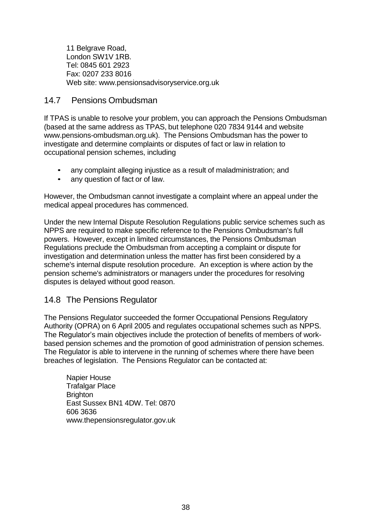11 Belgrave Road, London SW1V 1RB. Tel: 0845 601 2923 Fax: 0207 233 8016 Web site: [www.pensionsadvisoryservice.org.uk](http://www.pensionsadvisoryservice.org.uk/)

### 14.7 Pensions Ombudsman

If TPAS is unable to resolve your problem, you can approach the Pensions Ombudsman (based at the same address as TPAS, but telephone 020 7834 9144 and website www.pensions-ombudsman.org.uk). The Pensions Ombudsman has the power to investigate and determine complaints or disputes of fact or law in relation to occupational pension schemes, including

- any complaint alleging injustice as a result of maladministration; and
- any question of fact or of law.

However, the Ombudsman cannot investigate a complaint where an appeal under the medical appeal procedures has commenced.

Under the new Internal Dispute Resolution Regulations public service schemes such as NPPS are required to make specific reference to the Pensions Ombudsman's full powers. However, except in limited circumstances, the Pensions Ombudsman Regulations preclude the Ombudsman from accepting a complaint or dispute for investigation and determination unless the matter has first been considered by a scheme's internal dispute resolution procedure. An exception is where action by the pension scheme's administrators or managers under the procedures for resolving disputes is delayed without good reason.

## 14.8 The Pensions Regulator

The Pensions Regulator succeeded the former Occupational Pensions Regulatory Authority (OPRA) on 6 April 2005 and regulates occupational schemes such as NPPS. The Regulator's main objectives include the protection of benefits of members of workbased pension schemes and the promotion of good administration of pension schemes. The Regulator is able to intervene in the running of schemes where there have been breaches of legislation. The Pensions Regulator can be contacted at:

Napier House Trafalgar Place **Brighton** East Sussex BN1 4DW. Tel: 0870 606 363[6](http://www.thepensionsregulator.gov.uk/) [www.thepensionsregulator.gov.uk](http://www.thepensionsregulator.gov.uk/)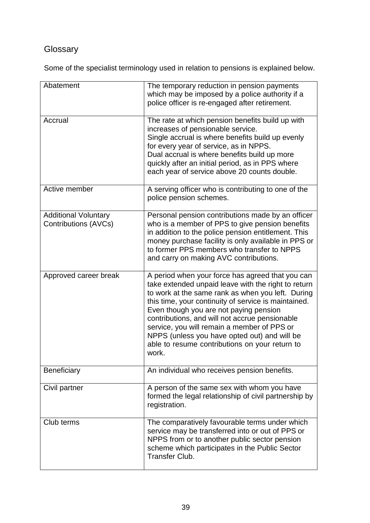## **Glossary**

Some of the specialist terminology used in relation to pensions is explained below.

| Abatement                                           | The temporary reduction in pension payments<br>which may be imposed by a police authority if a<br>police officer is re-engaged after retirement.                                                                                                                                                                                                                                                                                                                           |
|-----------------------------------------------------|----------------------------------------------------------------------------------------------------------------------------------------------------------------------------------------------------------------------------------------------------------------------------------------------------------------------------------------------------------------------------------------------------------------------------------------------------------------------------|
| Accrual                                             | The rate at which pension benefits build up with<br>increases of pensionable service.<br>Single accrual is where benefits build up evenly<br>for every year of service, as in NPPS.<br>Dual accrual is where benefits build up more<br>quickly after an initial period, as in PPS where<br>each year of service above 20 counts double.                                                                                                                                    |
| Active member                                       | A serving officer who is contributing to one of the<br>police pension schemes.                                                                                                                                                                                                                                                                                                                                                                                             |
| <b>Additional Voluntary</b><br>Contributions (AVCs) | Personal pension contributions made by an officer<br>who is a member of PPS to give pension benefits<br>in addition to the police pension entitlement. This<br>money purchase facility is only available in PPS or<br>to former PPS members who transfer to NPPS<br>and carry on making AVC contributions.                                                                                                                                                                 |
| Approved career break                               | A period when your force has agreed that you can<br>take extended unpaid leave with the right to return<br>to work at the same rank as when you left. During<br>this time, your continuity of service is maintained.<br>Even though you are not paying pension<br>contributions, and will not accrue pensionable<br>service, you will remain a member of PPS or<br>NPPS (unless you have opted out) and will be<br>able to resume contributions on your return to<br>work. |
| Beneficiary                                         | An individual who receives pension benefits.                                                                                                                                                                                                                                                                                                                                                                                                                               |
| Civil partner                                       | A person of the same sex with whom you have<br>formed the legal relationship of civil partnership by<br>registration.                                                                                                                                                                                                                                                                                                                                                      |
| Club terms                                          | The comparatively favourable terms under which<br>service may be transferred into or out of PPS or<br>NPPS from or to another public sector pension<br>scheme which participates in the Public Sector<br><b>Transfer Club.</b>                                                                                                                                                                                                                                             |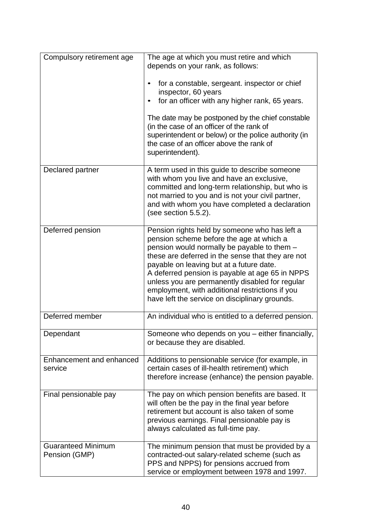| Compulsory retirement age                  | The age at which you must retire and which<br>depends on your rank, as follows:                                                                                                                                                                                                                                                                                                                                                                      |
|--------------------------------------------|------------------------------------------------------------------------------------------------------------------------------------------------------------------------------------------------------------------------------------------------------------------------------------------------------------------------------------------------------------------------------------------------------------------------------------------------------|
|                                            | for a constable, sergeant. inspector or chief<br>inspector, 60 years                                                                                                                                                                                                                                                                                                                                                                                 |
|                                            | for an officer with any higher rank, 65 years.                                                                                                                                                                                                                                                                                                                                                                                                       |
|                                            | The date may be postponed by the chief constable<br>(in the case of an officer of the rank of<br>superintendent or below) or the police authority (in<br>the case of an officer above the rank of<br>superintendent).                                                                                                                                                                                                                                |
| Declared partner                           | A term used in this guide to describe someone<br>with whom you live and have an exclusive,<br>committed and long-term relationship, but who is<br>not married to you and is not your civil partner,<br>and with whom you have completed a declaration<br>(see section 5.5.2).                                                                                                                                                                        |
| Deferred pension                           | Pension rights held by someone who has left a<br>pension scheme before the age at which a<br>pension would normally be payable to them -<br>these are deferred in the sense that they are not<br>payable on leaving but at a future date.<br>A deferred pension is payable at age 65 in NPPS<br>unless you are permanently disabled for regular<br>employment, with additional restrictions if you<br>have left the service on disciplinary grounds. |
| Deferred member                            | An individual who is entitled to a deferred pension.                                                                                                                                                                                                                                                                                                                                                                                                 |
| Dependant                                  | Someone who depends on you – either financially,<br>or because they are disabled.                                                                                                                                                                                                                                                                                                                                                                    |
| Enhancement and enhanced<br>service        | Additions to pensionable service (for example, in<br>certain cases of ill-health retirement) which<br>therefore increase (enhance) the pension payable.                                                                                                                                                                                                                                                                                              |
| Final pensionable pay                      | The pay on which pension benefits are based. It<br>will often be the pay in the final year before<br>retirement but account is also taken of some<br>previous earnings. Final pensionable pay is<br>always calculated as full-time pay.                                                                                                                                                                                                              |
| <b>Guaranteed Minimum</b><br>Pension (GMP) | The minimum pension that must be provided by a<br>contracted-out salary-related scheme (such as<br>PPS and NPPS) for pensions accrued from<br>service or employment between 1978 and 1997.                                                                                                                                                                                                                                                           |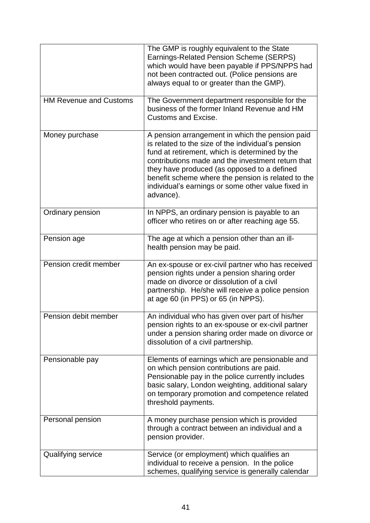|                               | The GMP is roughly equivalent to the State<br>Earnings-Related Pension Scheme (SERPS)<br>which would have been payable if PPS/NPPS had<br>not been contracted out. (Police pensions are<br>always equal to or greater than the GMP).                                                                                                                                                 |
|-------------------------------|--------------------------------------------------------------------------------------------------------------------------------------------------------------------------------------------------------------------------------------------------------------------------------------------------------------------------------------------------------------------------------------|
| <b>HM Revenue and Customs</b> | The Government department responsible for the<br>business of the former Inland Revenue and HM<br><b>Customs and Excise.</b>                                                                                                                                                                                                                                                          |
| Money purchase                | A pension arrangement in which the pension paid<br>is related to the size of the individual's pension<br>fund at retirement, which is determined by the<br>contributions made and the investment return that<br>they have produced (as opposed to a defined<br>benefit scheme where the pension is related to the<br>individual's earnings or some other value fixed in<br>advance). |
| Ordinary pension              | In NPPS, an ordinary pension is payable to an<br>officer who retires on or after reaching age 55.                                                                                                                                                                                                                                                                                    |
| Pension age                   | The age at which a pension other than an ill-<br>health pension may be paid.                                                                                                                                                                                                                                                                                                         |
| Pension credit member         | An ex-spouse or ex-civil partner who has received<br>pension rights under a pension sharing order<br>made on divorce or dissolution of a civil<br>partnership. He/she will receive a police pension<br>at age 60 (in PPS) or 65 (in NPPS).                                                                                                                                           |
| Pension debit member          | An individual who has given over part of his/her<br>pension rights to an ex-spouse or ex-civil partner<br>under a pension sharing order made on divorce or<br>dissolution of a civil partnership.                                                                                                                                                                                    |
| Pensionable pay               | Elements of earnings which are pensionable and<br>on which pension contributions are paid.<br>Pensionable pay in the police currently includes<br>basic salary, London weighting, additional salary<br>on temporary promotion and competence related<br>threshold payments.                                                                                                          |
| Personal pension              | A money purchase pension which is provided<br>through a contract between an individual and a<br>pension provider.                                                                                                                                                                                                                                                                    |
| Qualifying service            | Service (or employment) which qualifies an<br>individual to receive a pension. In the police<br>schemes, qualifying service is generally calendar                                                                                                                                                                                                                                    |